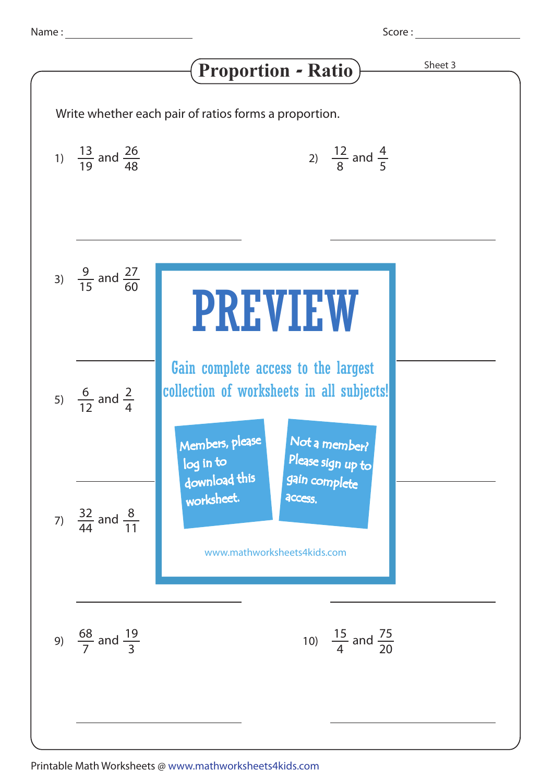